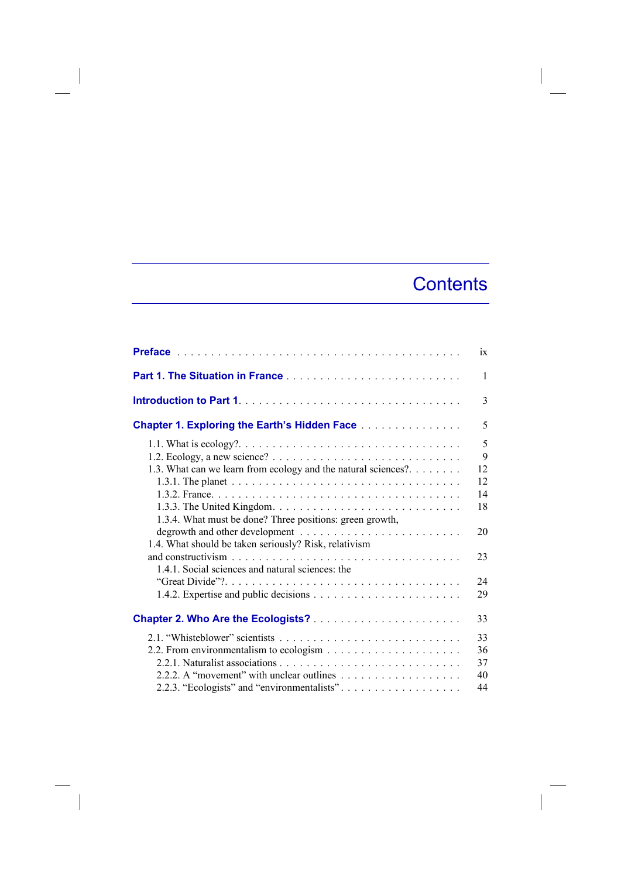## **Contents**

|                                                                                                                                                                | ix                   |
|----------------------------------------------------------------------------------------------------------------------------------------------------------------|----------------------|
| Part 1. The Situation in France                                                                                                                                | $\mathbf{1}$         |
|                                                                                                                                                                | 3                    |
| <b>Chapter 1. Exploring the Earth's Hidden Face Alletterry Chapter 1. Exploring the Earth's Hidden Face Alletterry</b>                                         | 5                    |
| 1.2. Ecology, a new science? $\ldots \ldots \ldots \ldots \ldots \ldots \ldots \ldots \ldots$<br>1.3. What can we learn from ecology and the natural sciences? | 5<br>9<br>12         |
|                                                                                                                                                                | 12<br>14<br>18       |
| 1.3.4. What must be done? Three positions: green growth,<br>1.4. What should be taken seriously? Risk, relativism                                              | 20                   |
| 1.4.1. Social sciences and natural sciences: the                                                                                                               | 23                   |
|                                                                                                                                                                | 24<br>29             |
|                                                                                                                                                                | 33                   |
|                                                                                                                                                                | 33<br>36<br>37<br>40 |
| 2.2.3. "Ecologists" and "environmentalists"                                                                                                                    | 44                   |

 $\overline{\phantom{a}}$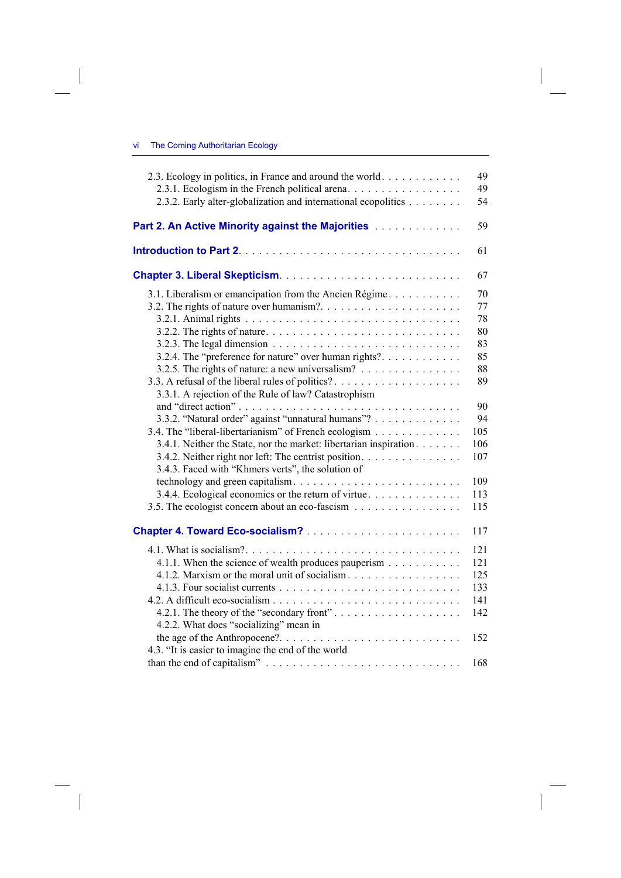$\overline{\phantom{a}}$ 

 $\begin{array}{c} \hline \end{array}$ 

| 2.3. Ecology in politics, in France and around the world<br>2.3.1. Ecologism in the French political arena.     | 49<br>49 |
|-----------------------------------------------------------------------------------------------------------------|----------|
| 2.3.2. Early alter-globalization and international ecopolitics                                                  | 54       |
| Part 2. An Active Minority against the Majorities [11] An Active Majorities [11] An Active Minority against the | 59       |
|                                                                                                                 | 61       |
|                                                                                                                 | 67       |
| 3.1. Liberalism or emancipation from the Ancien Régime.                                                         | 70       |
|                                                                                                                 | 77       |
|                                                                                                                 | 78       |
|                                                                                                                 | 80       |
| 3.2.3. The legal dimension $\ldots \ldots \ldots \ldots \ldots \ldots \ldots \ldots \ldots$                     | 83       |
| 3.2.4. The "preference for nature" over human rights?                                                           | 85       |
|                                                                                                                 | 88       |
| 3.3. A refusal of the liberal rules of politics?                                                                | 89       |
| 3.3.1. A rejection of the Rule of law? Catastrophism                                                            |          |
|                                                                                                                 | 90       |
| 3.3.2. "Natural order" against "unnatural humans"?                                                              | 94       |
| 3.4. The "liberal-libertarianism" of French ecologism                                                           | 105      |
| 3.4.1. Neither the State, nor the market: libertarian inspiration                                               | 106      |
| 3.4.2. Neither right nor left: The centrist position.                                                           | 107      |
| 3.4.3. Faced with "Khmers verts", the solution of                                                               |          |
|                                                                                                                 | 109      |
| 3.4.4. Ecological economics or the return of virtue.                                                            | 113      |
| 3.5. The ecologist concern about an eco-fascism                                                                 | 115      |
|                                                                                                                 | 117      |
|                                                                                                                 | 121      |
| 4.1.1. When the science of wealth produces pauperism                                                            | 121      |
| 4.1.2. Marxism or the moral unit of socialism                                                                   | 125      |
|                                                                                                                 | 133      |
|                                                                                                                 | 141      |
| 4.2.1. The theory of the "secondary front"                                                                      | 142      |
| 4.2.2. What does "socializing" mean in                                                                          |          |
|                                                                                                                 | 152      |
| 4.3. "It is easier to imagine the end of the world                                                              |          |
|                                                                                                                 | 168      |

 $\overline{\phantom{a}}$